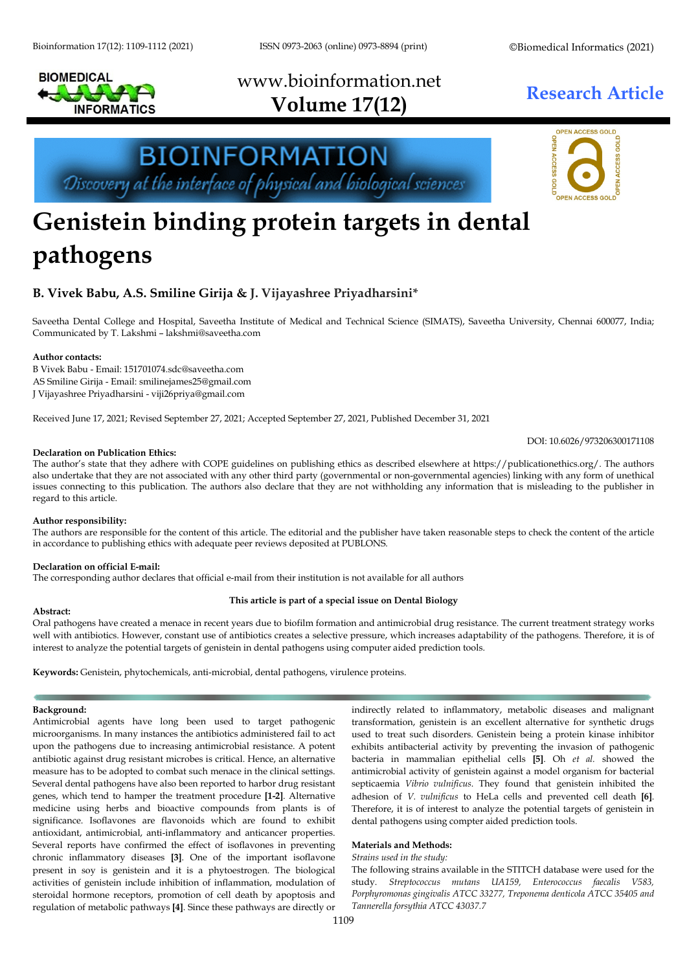

www.bioinformation.net **Research Article Volume 17(12)**



# **Genistein binding protein targets in dental pathogens**

**BIOINFORMATION** 

Discovery at the interface of physical and biological sciences

## **B. Vivek Babu, A.S. Smiline Girija & J. Vijayashree Priyadharsini\***

Saveetha Dental College and Hospital, Saveetha Institute of Medical and Technical Science (SIMATS), Saveetha University, Chennai 600077, India; Communicated by T. Lakshmi – lakshmi@saveetha.com

#### **Author contacts:**

B Vivek Babu - Email[: 151701074.sdc@saveetha.com](mailto:151701074.sdc@saveetha.com) AS Smiline Girija - Email: smilinejames25@gmail.com J Vijayashree Priyadharsini - viji26priya@gmail.com

Received June 17, 2021; Revised September 27, 2021; Accepted September 27, 2021, Published December 31, 2021

DOI: 10.6026/973206300171108

#### **Declaration on Publication Ethics:**

The author's state that they adhere with COPE guidelines on publishing ethics as described elsewhere at https://publicationethics.org/. The authors also undertake that they are not associated with any other third party (governmental or non-governmental agencies) linking with any form of unethical issues connecting to this publication. The authors also declare that they are not withholding any information that is misleading to the publisher in regard to this article.

#### **Author responsibility:**

The authors are responsible for the content of this article. The editorial and the publisher have taken reasonable steps to check the content of the article in accordance to publishing ethics with adequate peer reviews deposited at PUBLONS.

#### **Declaration on official E-mail:**

The corresponding author declares that official e-mail from their institution is not available for all authors

#### **This article is part of a special issue on Dental Biology**

### **Abstract:**

Oral pathogens have created a menace in recent years due to biofilm formation and antimicrobial drug resistance. The current treatment strategy works well with antibiotics. However, constant use of antibiotics creates a selective pressure, which increases adaptability of the pathogens. Therefore, it is of interest to analyze the potential targets of genistein in dental pathogens using computer aided prediction tools.

**Keywords:** Genistein, phytochemicals, anti-microbial, dental pathogens, virulence proteins.

#### **Background:**

Antimicrobial agents have long been used to target pathogenic microorganisms. In many instances the antibiotics administered fail to act upon the pathogens due to increasing antimicrobial resistance. A potent antibiotic against drug resistant microbes is critical. Hence, an alternative measure has to be adopted to combat such menace in the clinical settings. Several dental pathogens have also been reported to harbor drug resistant genes, which tend to hamper the treatment procedure **[1-2]**. Alternative medicine using herbs and bioactive compounds from plants is of significance. Isoflavones are flavonoids which are found to exhibit antioxidant, antimicrobial, anti-inflammatory and anticancer properties. Several reports have confirmed the effect of isoflavones in preventing chronic inflammatory diseases **[3]**. One of the important isoflavone present in soy is genistein and it is a phytoestrogen. The biological activities of genistein include inhibition of inflammation, modulation of steroidal hormone receptors, promotion of cell death by apoptosis and regulation of metabolic pathways **[4]**. Since these pathways are directly or

indirectly related to inflammatory, metabolic diseases and malignant transformation, genistein is an excellent alternative for synthetic drugs used to treat such disorders. Genistein being a protein kinase inhibitor exhibits antibacterial activity by preventing the invasion of pathogenic bacteria in mammalian epithelial cells **[\[5\]](https://paperpile.com/c/iShE6Z/tFbM)**. Oh *et al.* showed the antimicrobial activity of genistein against a model organism for bacterial septicaemia *Vibrio vulnificus*. They found that genistein inhibited the adhesion of *V. vulnificus* to HeLa cells and prevented cell death **[\[6\]](https://paperpile.com/c/iShE6Z/gGvZ)**. Therefore, it is of interest to analyze the potential targets of genistein in dental pathogens using compter aided prediction tools.

#### **Materials and Methods:**

#### *Strains used in the study:*

The following strains available in the STITCH database were used for the study. *Streptococcus mutans UA159, Enterococcus faecalis V583, Porphyromonas gingivalis ATCC 33277, Treponema denticola ATCC 35405 and Tannerella forsythia ATCC 43037.7*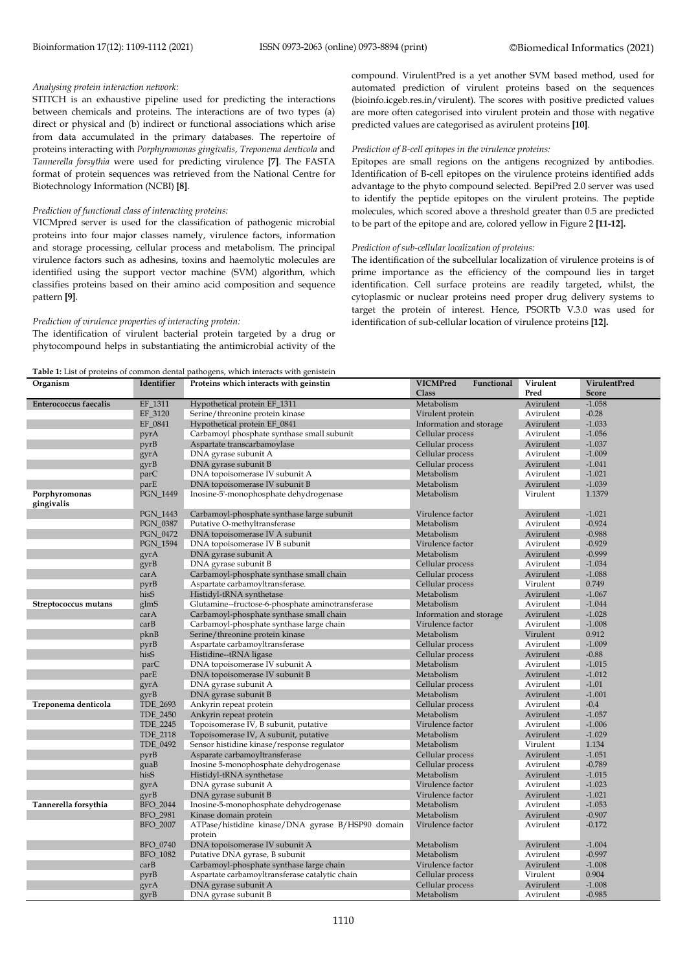#### *Analysing protein interaction network:*

STITCH is an exhaustive pipeline used for predicting the interactions between chemicals and proteins. The interactions are of two types (a) direct or physical and (b) indirect or functional associations which arise from data accumulated in the primary databases. The repertoire of proteins interacting with *Porphyromonas gingivalis*, *Treponema denticola* and *Tannerella forsythia* were used for predicting virulence **[7]**. The FASTA format of protein sequences was retrieved from the National Centre for Biotechnology Information (NCBI) **[8]**.

#### *Prediction of functional class of interacting proteins:*

VICMpred server is used for the classification of pathogenic microbial proteins into four major classes namely, virulence factors, information and storage processing, cellular process and metabolism. The principal virulence factors such as adhesins, toxins and haemolytic molecules are identified using the support vector machine (SVM) algorithm, which classifies proteins based on their amino acid composition and sequence pattern **[9]**.

#### *Prediction of virulence properties of interacting protein:*

The identification of virulent bacterial protein targeted by a drug or phytocompound helps in substantiating the antimicrobial activity of the compound. VirulentPred is a yet another SVM based method, used for automated prediction of virulent proteins based on the sequences (bioinfo.icgeb.res.in/virulent). The scores with positive predicted values are more often categorised into virulent protein and those with negative predicted values are categorised as avirulent proteins **[10]**.

#### *Prediction of B-cell epitopes in the virulence proteins:*

Epitopes are small regions on the antigens recognized by antibodies. Identification of B-cell epitopes on the virulence proteins identified adds advantage to the phyto compound selected. BepiPred 2.0 server was used to identify the peptide epitopes on the virulent proteins. The peptide molecules, which scored above a threshold greater than 0.5 are predicted to be part of the epitope and are, colored yellow in Figure 2 **[11-12].**

#### *Prediction of sub-cellular localization of proteins:*

The identification of the subcellular localization of virulence proteins is of prime importance as the efficiency of the compound lies in target identification. Cell surface proteins are readily targeted, whilst, the cytoplasmic or nuclear proteins need proper drug delivery systems to target the protein of interest. Hence, PSORTb V.3.0 was used for identification of sub-cellular location of virulence proteins **[12].**

**Table 1:** List of proteins of common dental pathogens, which interacts with genistein

| Organism                     | Identifier      | Proteins which interacts with geinstin                       | <b>VICMPred</b><br>Functional | Virulent  | VirulentPred |
|------------------------------|-----------------|--------------------------------------------------------------|-------------------------------|-----------|--------------|
|                              |                 |                                                              | Class                         | Pred      | <b>Score</b> |
| <b>Enterococcus faecalis</b> | EF_1311         | Hypothetical protein EF_1311                                 | Metabolism                    | Avirulent | $-1.058$     |
|                              | EF_3120         | Serine/threonine protein kinase                              | Virulent protein              | Avirulent | $-0.28$      |
|                              | EF_0841         | Hypothetical protein EF_0841                                 | Information and storage       | Avirulent | $-1.033$     |
|                              | pyrA            | Carbamoyl phosphate synthase small subunit                   | Cellular process              | Avirulent | $-1.056$     |
|                              | pyrB            | Aspartate transcarbamoylase                                  | Cellular process              | Avirulent | $-1.037$     |
|                              | gyrA            | DNA gyrase subunit A                                         | Cellular process              | Avirulent | $-1.009$     |
|                              | gyrB            | DNA gyrase subunit B                                         | Cellular process              | Avirulent | $-1.041$     |
|                              | parC            | DNA topoisomerase IV subunit A                               | Metabolism                    | Avirulent | $-1.021$     |
|                              | parE            | DNA topoisomerase IV subunit B                               | Metabolism                    | Avirulent | $-1.039$     |
| Porphyromonas<br>gingivalis  | PGN_1449        | Inosine-5'-monophosphate dehydrogenase                       | Metabolism                    | Virulent  | 1.1379       |
|                              | PGN_1443        | Carbamoyl-phosphate synthase large subunit                   | Virulence factor              | Avirulent | $-1.021$     |
|                              | PGN_0387        | Putative O-methyltransferase                                 | Metabolism                    | Avirulent | $-0.924$     |
|                              | PGN_0472        | DNA topoisomerase IV A subunit                               | Metabolism                    | Avirulent | $-0.988$     |
|                              | PGN_1594        | DNA topoisomerase IV B subunit                               | Virulence factor              | Avirulent | $-0.929$     |
|                              | gyrA            | DNA gyrase subunit A                                         | Metabolism                    | Avirulent | $-0.999$     |
|                              | gyrB            | DNA gyrase subunit B                                         | Cellular process              | Avirulent | $-1.034$     |
|                              | carA            | Carbamoyl-phosphate synthase small chain                     | Cellular process              | Avirulent | $-1.088$     |
|                              | pyrB            | Aspartate carbamoyltransferase.                              | Cellular process              | Virulent  | 0.749        |
|                              | hisS            | Histidyl-tRNA synthetase                                     | Metabolism                    | Avirulent | $-1.067$     |
| Streptococcus mutans         | glmS            | Glutamine--fructose-6-phosphate aminotransferase             | Metabolism                    | Avirulent | $-1.044$     |
|                              | carA            | Carbamoyl-phosphate synthase small chain                     | Information and storage       | Avirulent | $-1.028$     |
|                              | carB            | Carbamoyl-phosphate synthase large chain                     | Virulence factor              | Avirulent | $-1.008$     |
|                              | pknB            | Serine/threonine protein kinase                              | Metabolism                    | Virulent  | 0.912        |
|                              | pyrB            | Aspartate carbamoyltransferase                               | Cellular process              | Avirulent | $-1.009$     |
|                              | hisS            | Histidine--tRNA ligase                                       | Cellular process              | Avirulent | $-0.88$      |
|                              | parC            | DNA topoisomerase IV subunit A                               | Metabolism                    | Avirulent | $-1.015$     |
|                              | parE            | DNA topoisomerase IV subunit B                               | Metabolism                    | Avirulent | $-1.012$     |
|                              | gyrA            | DNA gyrase subunit A                                         | Cellular process              | Avirulent | $-1.01$      |
|                              | gyrB            | DNA gyrase subunit B                                         | Metabolism                    | Avirulent | $-1.001$     |
| Treponema denticola          | TDE_2693        | Ankyrin repeat protein                                       | Cellular process              | Avirulent | $-0.4$       |
|                              | <b>TDE_2450</b> | Ankyrin repeat protein                                       | Metabolism                    | Avirulent | $-1.057$     |
|                              | TDE_2245        | Topoisomerase IV, B subunit, putative                        | Virulence factor              | Avirulent | $-1.006$     |
|                              | TDE_2118        | Topoisomerase IV, A subunit, putative                        | Metabolism                    | Avirulent | $-1.029$     |
|                              | TDE 0492        | Sensor histidine kinase/response regulator                   | Metabolism                    | Virulent  | 1.134        |
|                              | pyrB            | Asparate carbamoyltransferase                                | Cellular process              | Avirulent | $-1.051$     |
|                              | guaB            | Inosine 5-monophosphate dehydrogenase                        | Cellular process              | Avirulent | $-0.789$     |
|                              | hisS            | Histidyl-tRNA synthetase                                     | Metabolism                    | Avirulent | $-1.015$     |
|                              | gyrA            | DNA gyrase subunit A                                         | Virulence factor              | Avirulent | $-1.023$     |
|                              | gyrB            | DNA gyrase subunit B                                         | Virulence factor              | Avirulent | $-1.021$     |
| Tannerella forsythia         | BFO_2044        | Inosine-5-monophosphate dehydrogenase                        | Metabolism                    | Avirulent | $-1.053$     |
|                              | BFO_2981        | Kinase domain protein                                        | Metabolism                    | Avirulent | $-0.907$     |
|                              | BFO_2007        | ATPase/histidine kinase/DNA gyrase B/HSP90 domain<br>protein | Virulence factor              | Avirulent | $-0.172$     |
|                              | BFO_0740        | DNA topoisomerase IV subunit A                               | Metabolism                    | Avirulent | $-1.004$     |
|                              | BFO_1082        | Putative DNA gyrase, B subunit                               | Metabolism                    | Avirulent | $-0.997$     |
|                              | carB            | Carbamoyl-phosphate synthase large chain                     | Virulence factor              | Avirulent | $-1.008$     |
|                              | pyrB            | Aspartate carbamoyltransferase catalytic chain               | Cellular process              | Virulent  | 0.904        |
|                              | gyrA            | DNA gyrase subunit A                                         | Cellular process              | Avirulent | $-1.008$     |
|                              | gyrB            | DNA gyrase subunit B                                         | Metabolism                    | Avirulent | $-0.985$     |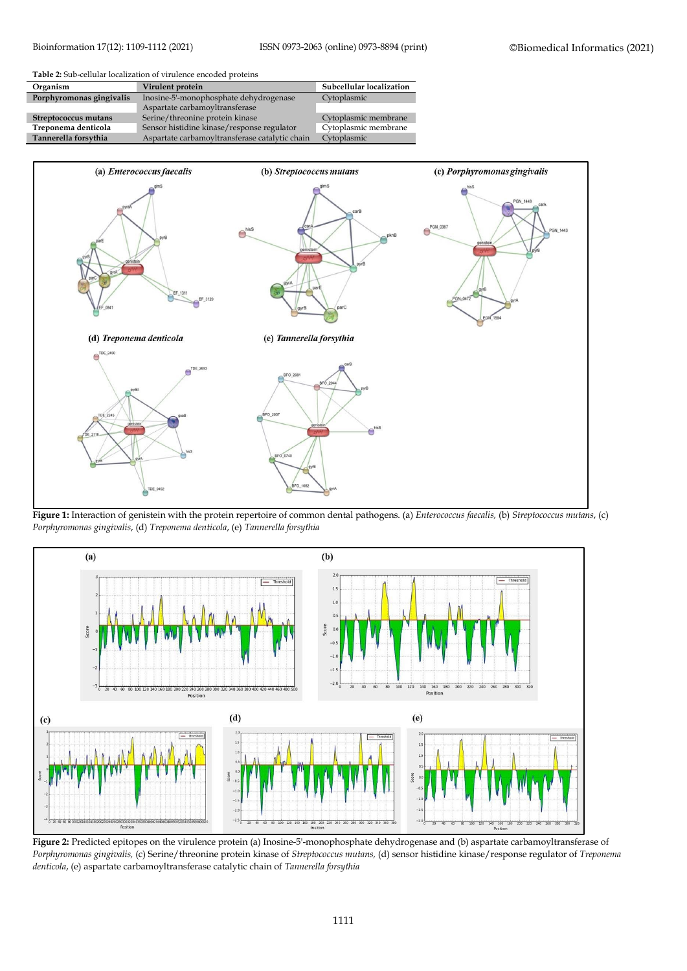

| Organism                 | Virulent protein                               | Subcellular localization |  |
|--------------------------|------------------------------------------------|--------------------------|--|
| Porphyromonas gingivalis | Inosine-5'-monophosphate dehydrogenase         | Cytoplasmic              |  |
|                          | Aspartate carbamoyltransferase                 |                          |  |
| Streptococcus mutans     | Serine/threonine protein kinase                | Cytoplasmic membrane     |  |
| Treponema denticola      | Sensor histidine kinase/response regulator     | Cytoplasmic membrane     |  |
| Tannerella forsythia     | Aspartate carbamovltransferase catalytic chain | Cytoplasmic              |  |



**Figure 1:** Interaction of genistein with the protein repertoire of common dental pathogens. (a) *Enterococcus faecalis,* (b) *Streptococcus mutans*, (c) *Porphyromonas gingivalis*, (d) *Treponema denticola*, (e) *Tannerella forsythia*



**Figure 2:** Predicted epitopes on the virulence protein (a) Inosine-5'-monophosphate dehydrogenase and (b) aspartate carbamoyltransferase of *Porphyromonas gingivalis,* (c) Serine/threonine protein kinase of *Streptococcus mutans,* (d) sensor histidine kinase/response regulator of *Treponema denticola*, (e) aspartate carbamoyltransferase catalytic chain of *Tannerella forsythia*